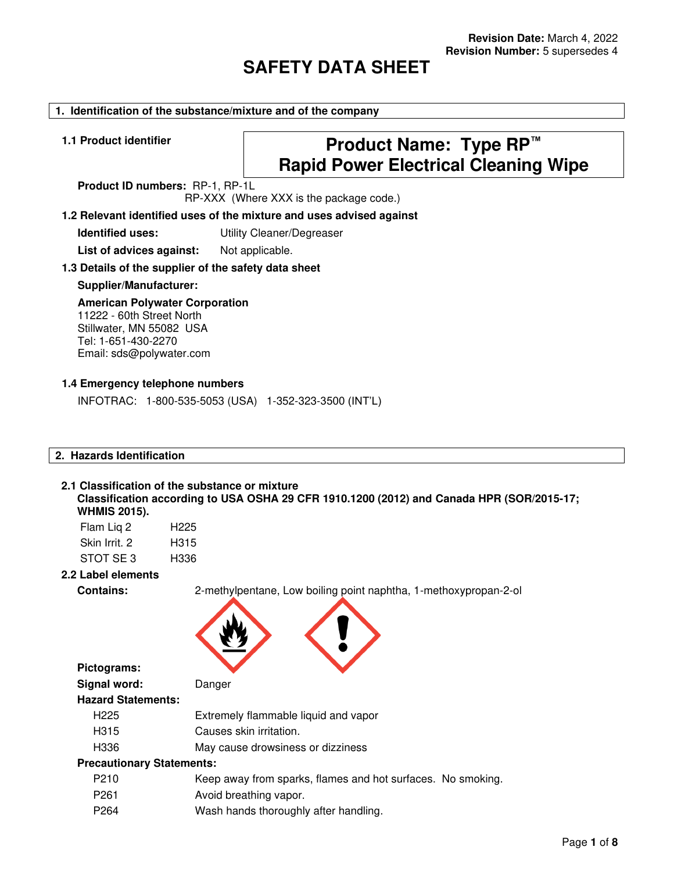# **SAFETY DATA SHEET**

#### **1. Identification of the substance/mixture and of the company**

# **1.1 Product identifier Product Name: Type RP™ Rapid Power Electrical Cleaning Wipe**

**Product ID numbers:** RP-1, RP-1L RP-XXX (Where XXX is the package code.)

# **1.2 Relevant identified uses of the mixture and uses advised against**

**Identified uses:** Utility Cleaner/Degreaser

List of advices against: Not applicable.

#### **1.3 Details of the supplier of the safety data sheet**

#### **Supplier/Manufacturer:**

# **American Polywater Corporation**

11222 - 60th Street North Stillwater, MN 55082 USA Tel: 1-651-430-2270 Email: sds@polywater.com

#### **1.4 Emergency telephone numbers**

INFOTRAC: 1-800-535-5053 (USA) 1-352-323-3500 (INT'L)

# **2. Hazards Identification**

#### **2.1 Classification of the substance or mixture**

**Classification according to USA OSHA 29 CFR 1910.1200 (2012) and Canada HPR (SOR/2015-17; WHMIS 2015).** 

| Flam Lig 2    | H <sub>225</sub> |
|---------------|------------------|
| Skin Irrit. 2 | H315             |
| STOT SE3      | H336             |

#### **2.2 Label elements**

**Pictograms:** 

**Contains:** 2-methylpentane, Low boiling point naphtha, 1-methoxypropan-2-ol



| Signal word:                     | Danger                                                      |
|----------------------------------|-------------------------------------------------------------|
| <b>Hazard Statements:</b>        |                                                             |
| H <sub>225</sub>                 | Extremely flammable liquid and vapor                        |
| H <sub>315</sub>                 | Causes skin irritation.                                     |
| H336                             | May cause drowsiness or dizziness                           |
| <b>Precautionary Statements:</b> |                                                             |
| P <sub>210</sub>                 | Keep away from sparks, flames and hot surfaces. No smoking. |
| P <sub>261</sub>                 | Avoid breathing vapor.                                      |
| P <sub>264</sub>                 | Wash hands thoroughly after handling.                       |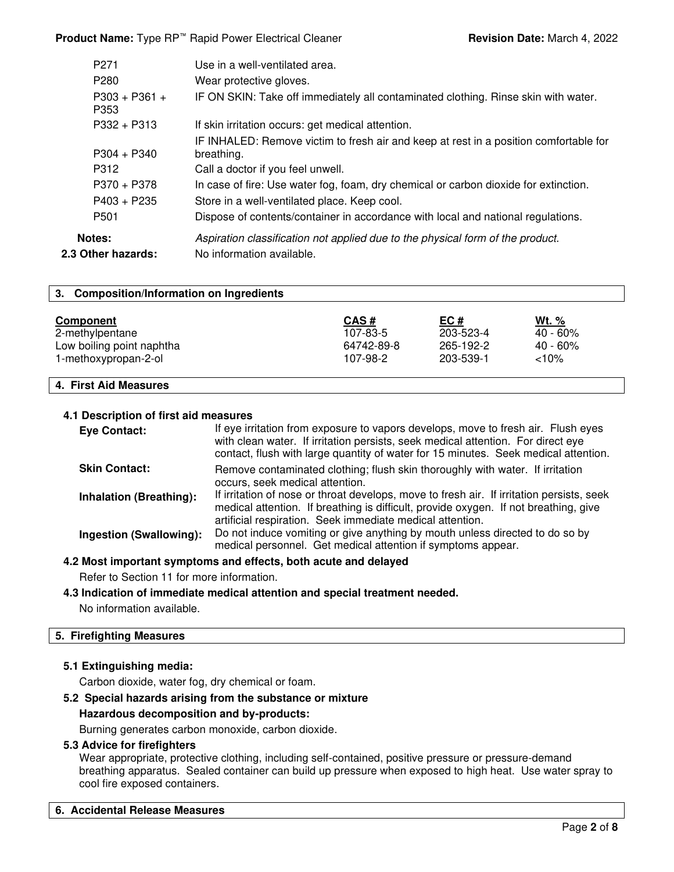**Product Name:** Type RP<sup>™</sup> Rapid Power Electrical Cleaner **Revision Date:** March 4, 2022

| P <sub>271</sub>             | Use in a well-ventilated area.                                                                              |
|------------------------------|-------------------------------------------------------------------------------------------------------------|
| P <sub>280</sub>             | Wear protective gloves.                                                                                     |
| $P303 + P361 +$<br>P353      | IF ON SKIN: Take off immediately all contaminated clothing. Rinse skin with water.                          |
| $P332 + P313$                | If skin irritation occurs: get medical attention.                                                           |
| $P304 + P340$                | IF INHALED: Remove victim to fresh air and keep at rest in a position comfortable for<br>breathing.         |
| P312                         | Call a doctor if you feel unwell.                                                                           |
| $P370 + P378$                | In case of fire: Use water fog, foam, dry chemical or carbon dioxide for extinction.                        |
| $P403 + P235$                | Store in a well-ventilated place. Keep cool.                                                                |
| P <sub>501</sub>             | Dispose of contents/container in accordance with local and national regulations.                            |
| Notes:<br>2.3 Other hazards: | Aspiration classification not applied due to the physical form of the product.<br>No information available. |
|                              |                                                                                                             |

| 3. Composition/Information on Ingredients |            |           |             |
|-------------------------------------------|------------|-----------|-------------|
| <b>Component</b>                          | CAS#       | EC#       | Wt. %       |
| 2-methylpentane                           | 107-83-5   | 203-523-4 | 40 - 60%    |
| Low boiling point naphtha                 | 64742-89-8 | 265-192-2 | $40 - 60\%$ |
| 1-methoxypropan-2-ol                      | 107-98-2   | 203-539-1 | $<10\%$     |
|                                           |            |           |             |

# **4. First Aid Measures**

#### **4.1 Description of first aid measures**

| Eye Contact:                   | If eye irritation from exposure to vapors develops, move to fresh air. Flush eyes<br>with clean water. If irritation persists, seek medical attention. For direct eye<br>contact, flush with large quantity of water for 15 minutes. Seek medical attention. |
|--------------------------------|--------------------------------------------------------------------------------------------------------------------------------------------------------------------------------------------------------------------------------------------------------------|
| <b>Skin Contact:</b>           | Remove contaminated clothing; flush skin thoroughly with water. If irritation<br>occurs, seek medical attention.                                                                                                                                             |
| <b>Inhalation (Breathing):</b> | If irritation of nose or throat develops, move to fresh air. If irritation persists, seek<br>medical attention. If breathing is difficult, provide oxygen. If not breathing, give<br>artificial respiration. Seek immediate medical attention.               |
| Ingestion (Swallowing):        | Do not induce vomiting or give anything by mouth unless directed to do so by<br>medical personnel. Get medical attention if symptoms appear.                                                                                                                 |

**4.2 Most important symptoms and effects, both acute and delayed**

Refer to Section 11 for more information.

#### **4.3 Indication of immediate medical attention and special treatment needed.**

No information available.

#### **5. Firefighting Measures**

#### **5.1 Extinguishing media:**

Carbon dioxide, water fog, dry chemical or foam.

#### **5.2 Special hazards arising from the substance or mixture**

#### **Hazardous decomposition and by-products:**

Burning generates carbon monoxide, carbon dioxide.

#### **5.3 Advice for firefighters**

Wear appropriate, protective clothing, including self-contained, positive pressure or pressure-demand breathing apparatus. Sealed container can build up pressure when exposed to high heat. Use water spray to cool fire exposed containers.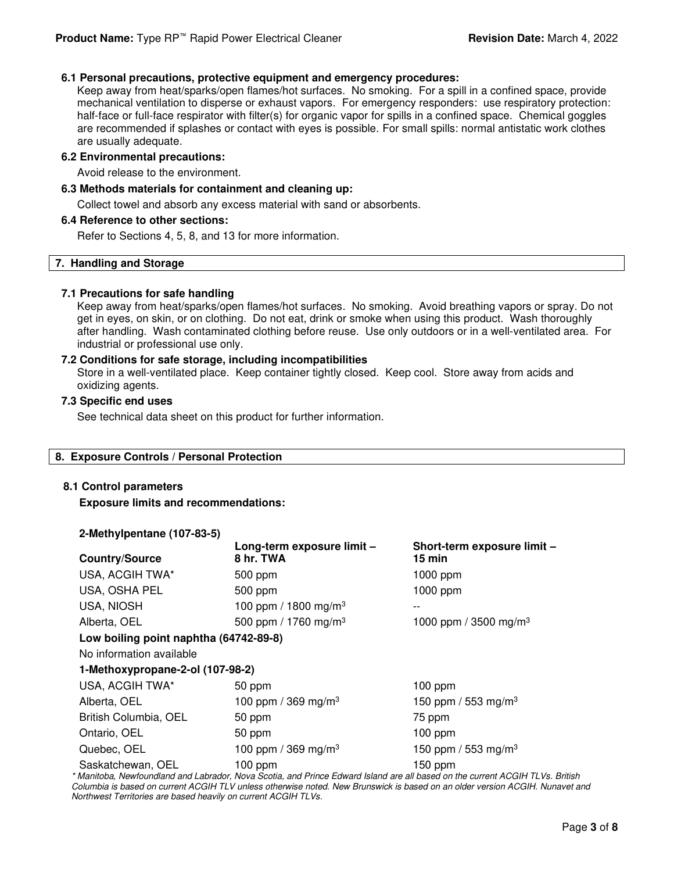#### **6.1 Personal precautions, protective equipment and emergency procedures:**

Keep away from heat/sparks/open flames/hot surfaces. No smoking. For a spill in a confined space, provide mechanical ventilation to disperse or exhaust vapors. For emergency responders: use respiratory protection: half-face or full-face respirator with filter(s) for organic vapor for spills in a confined space. Chemical goggles are recommended if splashes or contact with eyes is possible. For small spills: normal antistatic work clothes are usually adequate.

#### **6.2 Environmental precautions:**

Avoid release to the environment.

#### **6.3 Methods materials for containment and cleaning up:**

Collect towel and absorb any excess material with sand or absorbents.

#### **6.4 Reference to other sections:**

Refer to Sections 4, 5, 8, and 13 for more information.

#### **7. Handling and Storage**

#### **7.1 Precautions for safe handling**

Keep away from heat/sparks/open flames/hot surfaces. No smoking. Avoid breathing vapors or spray. Do not get in eyes, on skin, or on clothing. Do not eat, drink or smoke when using this product. Wash thoroughly after handling. Wash contaminated clothing before reuse. Use only outdoors or in a well-ventilated area. For industrial or professional use only.

#### **7.2 Conditions for safe storage, including incompatibilities**

Store in a well-ventilated place. Keep container tightly closed. Keep cool. Store away from acids and oxidizing agents.

#### **7.3 Specific end uses**

See technical data sheet on this product for further information.

#### **8. Exposure Controls / Personal Protection**

#### **8.1 Control parameters**

**Exposure limits and recommendations:** 

| 2-Methylpentane (107-83-5)             |                                         |                                       |
|----------------------------------------|-----------------------------------------|---------------------------------------|
| <b>Country/Source</b>                  | Long-term exposure limit -<br>8 hr. TWA | Short-term exposure limit -<br>15 min |
| USA, ACGIH TWA*                        | 500 ppm                                 | 1000 ppm                              |
| USA, OSHA PEL                          | 500 ppm                                 | $1000$ ppm                            |
| USA, NIOSH                             | 100 ppm / 1800 mg/m <sup>3</sup>        |                                       |
| Alberta, OEL                           | 500 ppm / 1760 mg/m <sup>3</sup>        | 1000 ppm / 3500 mg/m <sup>3</sup>     |
| Low boiling point naphtha (64742-89-8) |                                         |                                       |
| No information available               |                                         |                                       |
| 1-Methoxypropane-2-ol (107-98-2)       |                                         |                                       |
| USA, ACGIH TWA*                        | 50 ppm                                  | $100$ ppm                             |
| Alberta, OEL                           | 100 ppm / 369 mg/m <sup>3</sup>         | 150 ppm / 553 mg/m <sup>3</sup>       |
| British Columbia, OEL                  | 50 ppm                                  | 75 ppm                                |
| Ontario, OEL                           | 50 ppm                                  | $100$ ppm                             |
| Quebec, OEL                            | 100 ppm / 369 mg/m <sup>3</sup>         | 150 ppm / 553 mg/m <sup>3</sup>       |
| Saskatchewan, OEL                      | $100$ ppm                               | 150 ppm                               |

\* Manitoba, Newfoundland and Labrador, Nova Scotia, and Prince Edward Island are all based on the current ACGIH TLVs. British Columbia is based on current ACGIH TLV unless otherwise noted. New Brunswick is based on an older version ACGIH. Nunavet and Northwest Territories are based heavily on current ACGIH TLVs.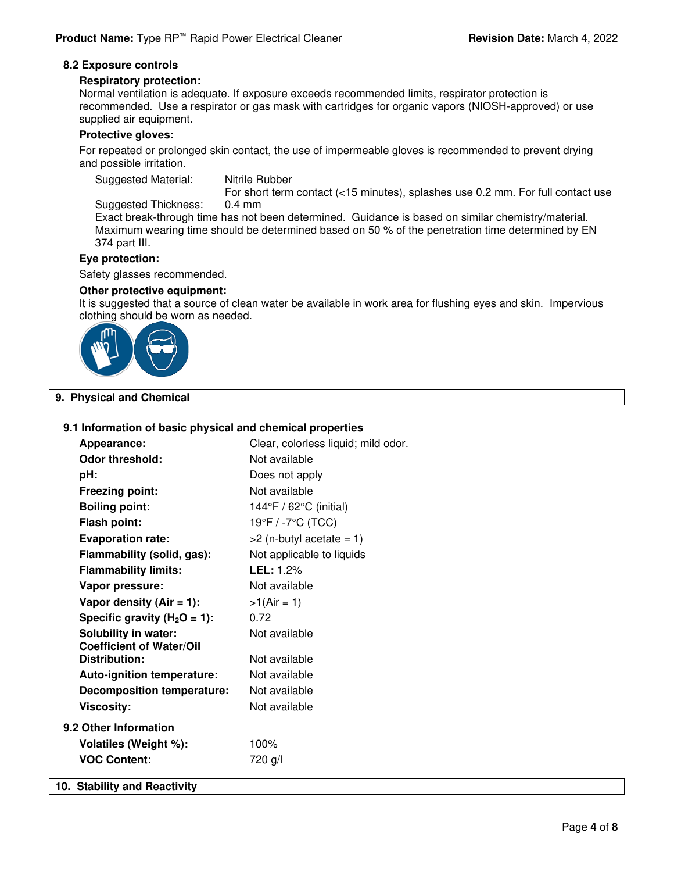#### **8.2 Exposure controls**

#### **Respiratory protection:**

Normal ventilation is adequate. If exposure exceeds recommended limits, respirator protection is recommended. Use a respirator or gas mask with cartridges for organic vapors (NIOSH-approved) or use supplied air equipment.

#### **Protective gloves:**

For repeated or prolonged skin contact, the use of impermeable gloves is recommended to prevent drying and possible irritation.

Suggested Material: Nitrile Rubber

For short term contact (<15 minutes), splashes use 0.2 mm. For full contact use

Suggested Thickness: 0.4 mm Exact break-through time has not been determined. Guidance is based on similar chemistry/material. Maximum wearing time should be determined based on 50 % of the penetration time determined by EN 374 part III.

#### **Eye protection:**

Safety glasses recommended.

#### **Other protective equipment:**

It is suggested that a source of clean water be available in work area for flushing eyes and skin. Impervious clothing should be worn as needed.



#### **9. Physical and Chemical**

#### **9.1 Information of basic physical and chemical properties**

|                                   | Clear, colorless liquid; mild odor. |
|-----------------------------------|-------------------------------------|
| Appearance:                       |                                     |
| <b>Odor threshold:</b>            | Not available                       |
| pH:                               | Does not apply                      |
| <b>Freezing point:</b>            | Not available                       |
| <b>Boiling point:</b>             | 144°F / 62°C (initial)              |
| <b>Flash point:</b>               | 19°F / -7°C (TCC)                   |
| <b>Evaporation rate:</b>          | $>2$ (n-butyl acetate = 1)          |
| Flammability (solid, gas):        | Not applicable to liquids           |
| <b>Flammability limits:</b>       | <b>LEL:</b> 1.2%                    |
| Vapor pressure:                   | Not available                       |
| Vapor density $(Air = 1)$ :       | $>1(Air = 1)$                       |
| Specific gravity ( $H_2O = 1$ ):  | 0.72                                |
| <b>Solubility in water:</b>       | Not available                       |
| <b>Coefficient of Water/Oil</b>   |                                     |
| <b>Distribution:</b>              | Not available                       |
| Auto-ignition temperature:        | Not available                       |
| <b>Decomposition temperature:</b> | Not available                       |
| <b>Viscosity:</b>                 | Not available                       |
| 9.2 Other Information             |                                     |
| Volatiles (Weight %):             | 100%                                |
| <b>VOC Content:</b>               | 720 g/l                             |
| 10. Stability and Reactivity      |                                     |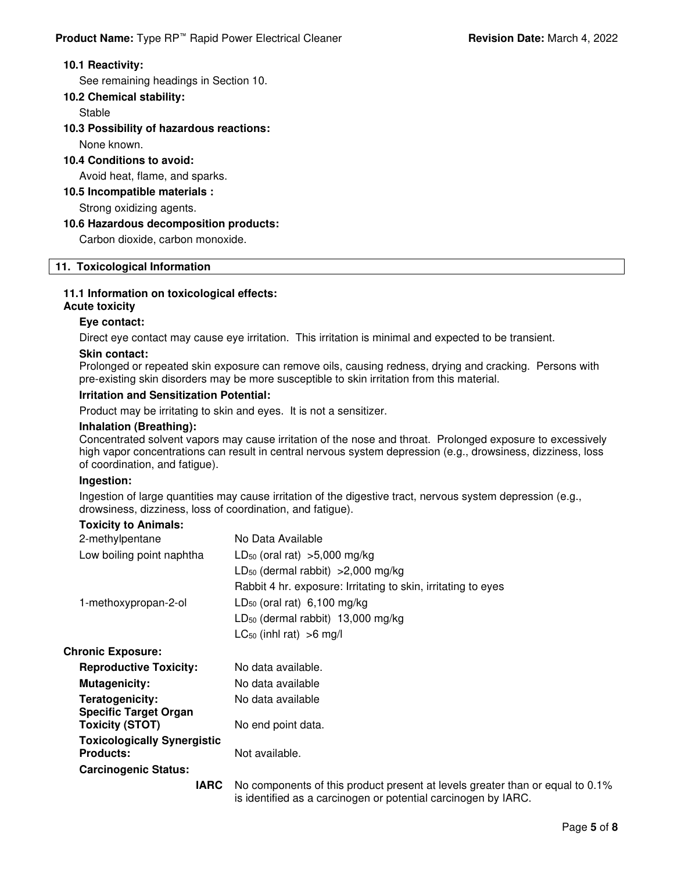#### **10.1 Reactivity:**

See remaining headings in Section 10.

#### **10.2 Chemical stability:**

Stable

### **10.3 Possibility of hazardous reactions:**

None known.

#### **10.4 Conditions to avoid:**

Avoid heat, flame, and sparks.

#### **10.5 Incompatible materials :**

Strong oxidizing agents.

### **10.6 Hazardous decomposition products:**

Carbon dioxide, carbon monoxide.

### **11. Toxicological Information**

# **11.1 Information on toxicological effects:**

# **Acute toxicity**

### **Eye contact:**

Direct eye contact may cause eye irritation. This irritation is minimal and expected to be transient.

#### **Skin contact:**

Prolonged or repeated skin exposure can remove oils, causing redness, drying and cracking. Persons with pre-existing skin disorders may be more susceptible to skin irritation from this material.

#### **Irritation and Sensitization Potential:**

Product may be irritating to skin and eyes. It is not a sensitizer.

#### **Inhalation (Breathing):**

Concentrated solvent vapors may cause irritation of the nose and throat. Prolonged exposure to excessively high vapor concentrations can result in central nervous system depression (e.g., drowsiness, dizziness, loss of coordination, and fatigue).

# **Ingestion:**

Ingestion of large quantities may cause irritation of the digestive tract, nervous system depression (e.g., drowsiness, dizziness, loss of coordination, and fatigue).

#### **Toxicity to Animals:**

| 2-methylpentane                    | No Data Available                                                                               |
|------------------------------------|-------------------------------------------------------------------------------------------------|
| Low boiling point naphtha          | $LD_{50}$ (oral rat) >5,000 mg/kg                                                               |
|                                    | LD <sub>50</sub> (dermal rabbit) $>2,000$ mg/kg                                                 |
|                                    | Rabbit 4 hr. exposure: Irritating to skin, irritating to eyes                                   |
| 1-methoxypropan-2-ol               | $LD_{50}$ (oral rat) 6,100 mg/kg                                                                |
|                                    | LD <sub>50</sub> (dermal rabbit) 13,000 mg/kg                                                   |
|                                    | $LC_{50}$ (inhl rat) >6 mg/l                                                                    |
| <b>Chronic Exposure:</b>           |                                                                                                 |
| <b>Reproductive Toxicity:</b>      | No data available.                                                                              |
| <b>Mutagenicity:</b>               | No data available                                                                               |
| Teratogenicity:                    | No data available                                                                               |
| <b>Specific Target Organ</b>       |                                                                                                 |
| <b>Toxicity (STOT)</b>             | No end point data.                                                                              |
| <b>Toxicologically Synergistic</b> |                                                                                                 |
| <b>Products:</b>                   | Not available.                                                                                  |
| <b>Carcinogenic Status:</b>        |                                                                                                 |
|                                    | <b>LA FIX A</b> construction of the construction of the state of the second of the $\mathbf{A}$ |

**IARC** No components of this product present at levels greater than or equal to 0.1% is identified as a carcinogen or potential carcinogen by IARC.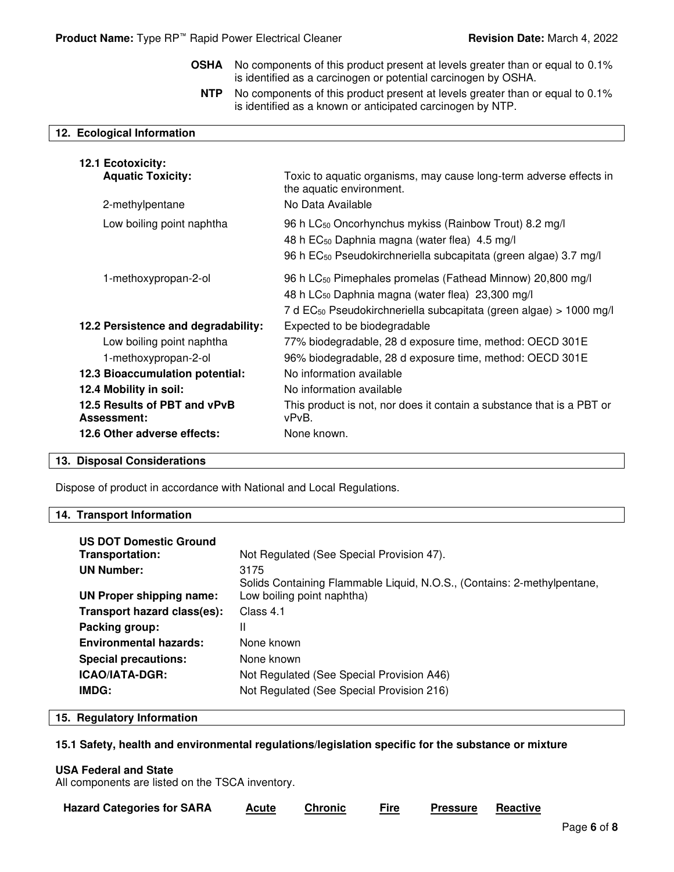| <b>OSHA</b>                                                                          | No components of this product present at levels greater than or equal to 0.1%<br>is identified as a carcinogen or potential carcinogen by OSHA.                                                                          |
|--------------------------------------------------------------------------------------|--------------------------------------------------------------------------------------------------------------------------------------------------------------------------------------------------------------------------|
| <b>NTP</b>                                                                           | No components of this product present at levels greater than or equal to 0.1%<br>is identified as a known or anticipated carcinogen by NTP.                                                                              |
| 12. Ecological Information                                                           |                                                                                                                                                                                                                          |
| 12.1 Ecotoxicity:<br><b>Aquatic Toxicity:</b><br>2-methylpentane                     | Toxic to aquatic organisms, may cause long-term adverse effects in<br>the aquatic environment.<br>No Data Available                                                                                                      |
| Low boiling point naphtha                                                            | 96 h LC <sub>50</sub> Oncorhynchus mykiss (Rainbow Trout) 8.2 mg/l<br>48 h EC <sub>50</sub> Daphnia magna (water flea) 4.5 mg/l<br>96 h EC <sub>50</sub> Pseudokirchneriella subcapitata (green algae) 3.7 mg/l          |
| 1-methoxypropan-2-ol                                                                 | 96 h LC <sub>50</sub> Pimephales promelas (Fathead Minnow) 20,800 mg/l<br>48 h LC <sub>50</sub> Daphnia magna (water flea) 23,300 mg/l<br>7 d EC <sub>50</sub> Pseudokirchneriella subcapitata (green algae) > 1000 mg/l |
| 12.2 Persistence and degradability:                                                  | Expected to be biodegradable                                                                                                                                                                                             |
| Low boiling point naphtha<br>1-methoxypropan-2-ol<br>12.3 Bioaccumulation potential: | 77% biodegradable, 28 d exposure time, method: OECD 301E<br>96% biodegradable, 28 d exposure time, method: OECD 301E<br>No information available                                                                         |
| 12.4 Mobility in soil:                                                               | No information available                                                                                                                                                                                                 |
| 12.5 Results of PBT and vPvB<br>Assessment:                                          | This product is not, nor does it contain a substance that is a PBT or<br>vPvB.                                                                                                                                           |
| 12.6 Other adverse effects:                                                          | None known.                                                                                                                                                                                                              |

# **13. Disposal Considerations**

Dispose of product in accordance with National and Local Regulations.

#### **14. Transport Information**

| <b>US DOT Domestic Ground</b> |                                                                         |
|-------------------------------|-------------------------------------------------------------------------|
| Transportation:               | Not Regulated (See Special Provision 47).                               |
| <b>UN Number:</b>             | 3175                                                                    |
|                               | Solids Containing Flammable Liquid, N.O.S., (Contains: 2-methylpentane, |
| UN Proper shipping name:      | Low boiling point naphtha)                                              |
| Transport hazard class(es):   | Class 4.1                                                               |
| Packing group:                | Ш                                                                       |
| <b>Environmental hazards:</b> | None known                                                              |
| <b>Special precautions:</b>   | None known                                                              |
| <b>ICAO/IATA-DGR:</b>         | Not Regulated (See Special Provision A46)                               |
| IMDG:                         | Not Regulated (See Special Provision 216)                               |

#### **15. Regulatory Information**

### **15.1 Safety, health and environmental regulations/legislation specific for the substance or mixture**

# **USA Federal and State**

All components are listed on the TSCA inventory.

**Hazard Categories for SARA Acute Chronic Fire Pressure Reactive**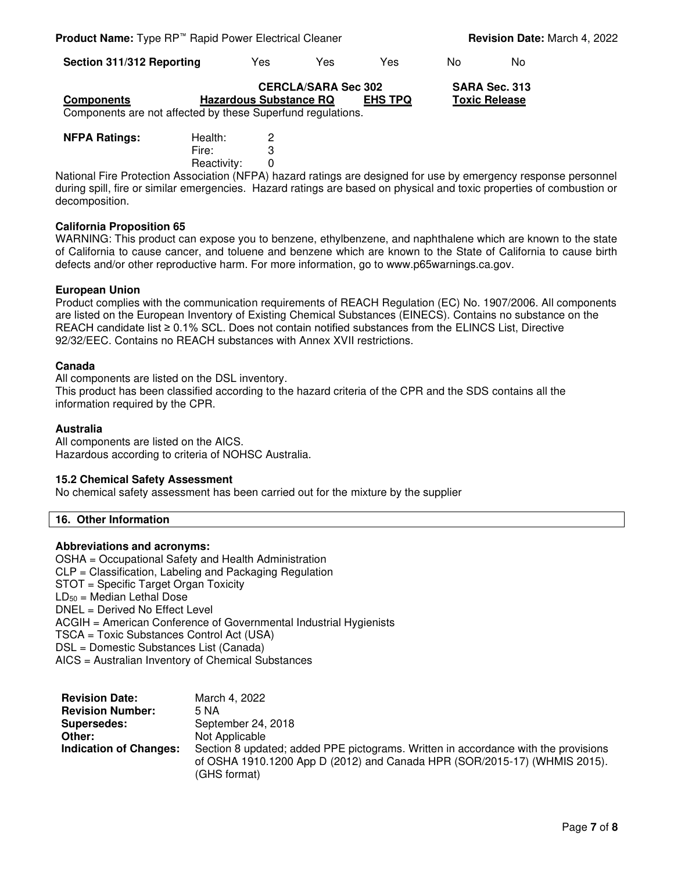**Section 311/312 Reporting** Yes Yes Yes No No

|                   | <b>CERCLA/SARA Sec 302</b>                                  |                | SARA Sec. 313        |
|-------------------|-------------------------------------------------------------|----------------|----------------------|
| <b>Components</b> | <b>Hazardous Substance RQ</b>                               | <b>EHS TPQ</b> | <b>Toxic Release</b> |
|                   | Components are not affected by these Superfund regulations. |                |                      |

| <b>NFPA Ratings:</b> | Health:     | 2 |
|----------------------|-------------|---|
|                      | Fire:       | 3 |
|                      | Reactivity: |   |

National Fire Protection Association (NFPA) hazard ratings are designed for use by emergency response personnel during spill, fire or similar emergencies. Hazard ratings are based on physical and toxic properties of combustion or decomposition.

#### **California Proposition 65**

WARNING: This product can expose you to benzene, ethylbenzene, and naphthalene which are known to the state of California to cause cancer, and toluene and benzene which are known to the State of California to cause birth defects and/or other reproductive harm. For more information, go to www.p65warnings.ca.gov.

#### **European Union**

Product complies with the communication requirements of REACH Regulation (EC) No. 1907/2006. All components are listed on the European Inventory of Existing Chemical Substances (EINECS). Contains no substance on the REACH candidate list ≥ 0.1% SCL. Does not contain notified substances from the ELINCS List, Directive 92/32/EEC. Contains no REACH substances with Annex XVII restrictions.

#### **Canada**

All components are listed on the DSL inventory.

This product has been classified according to the hazard criteria of the CPR and the SDS contains all the information required by the CPR.

#### **Australia**

All components are listed on the AICS. Hazardous according to criteria of NOHSC Australia.

#### **15.2 Chemical Safety Assessment**

No chemical safety assessment has been carried out for the mixture by the supplier

#### **16. Other Information**

#### **Abbreviations and acronyms:**

OSHA = Occupational Safety and Health Administration CLP = Classification, Labeling and Packaging Regulation STOT = Specific Target Organ Toxicity  $LD_{50}$  = Median Lethal Dose DNEL = Derived No Effect Level ACGIH = American Conference of Governmental Industrial Hygienists TSCA = Toxic Substances Control Act (USA) DSL = Domestic Substances List (Canada) AICS = Australian Inventory of Chemical Substances

| <b>Revision Date:</b>         | March 4, 2022                                                                      |
|-------------------------------|------------------------------------------------------------------------------------|
| <b>Revision Number:</b>       | 5 NA                                                                               |
| Supersedes:                   | September 24, 2018                                                                 |
| Other:                        | Not Applicable                                                                     |
| <b>Indication of Changes:</b> | Section 8 updated; added PPE pictograms. Written in accordance with the provisions |
|                               | of OSHA 1910.1200 App D (2012) and Canada HPR (SOR/2015-17) (WHMIS 2015).          |
|                               | (GHS format)                                                                       |